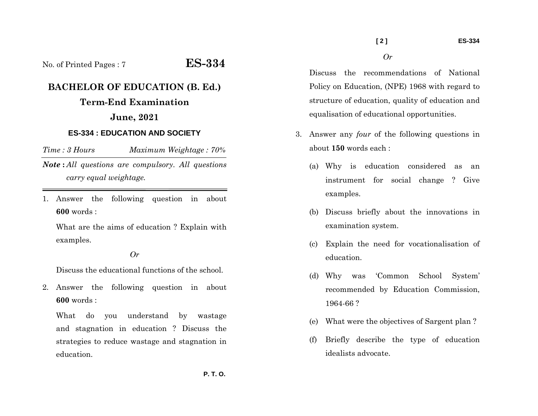# No. of Printed Pages : 7 **ES-334**

# **BACHELOR OF EDUCATION (B. Ed.)**

## **Term-End Examination June, 2021**

#### **ES-334 : EDUCATION AND SOCIETY**

*Time : 3 HoursMaximum Weightage : 70%* 

*Note* **:** *All questions are compulsory. All questions carry equal weightage.*

1. Answer the following question in about **600** words :

What are the aims of education ? Explain with examples.

#### *Or*

Discuss the educational functions of the school.

2. Answer the following question in about **600** words :

What do you understand by wastage and stagnation in education ? Discuss the strategies to reduce wastage and stagnation in education.

Discuss the recommendations of National Policy on Education, (NPE) 1968 with regard to structure of education, quality of education and equalisation of educational opportunities.

*Or* 

- 3. Answer any *four* of the following questions in about **150** words each :
	- (a) Why is education considered as an instrument for social change ? Give examples.
	- (b) Discuss briefly about the innovations in examination system.
	- (c) Explain the need for vocationalisation of education.
	- (d) Why was 'Common School System' recommended by Education Commission, 1964-66 ?
	- (e) What were the objectives of Sargent plan ?
	- (f) Briefly describe the type of education idealists advocate.

 **P. T. O.**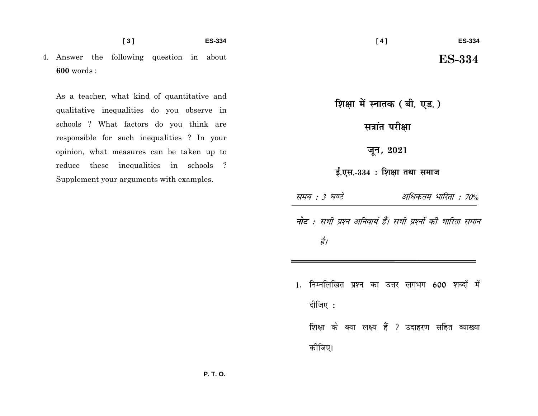4. Answer the following question in about  $600$  words:

As a teacher, what kind of quantitative and qualitative inequalities do you observe in schools ? What factors do you think are responsible for such inequalities ? In your opinion, what measures can be taken up to reduce these inequalities in schools ? Supplement your arguments with examples.

शिक्षा में स्नातक (बी. एड.)

सत्रांत परीक्षा

जून, 2021

ई.एस.-334: शिक्षा तथा समाज

अधिकतम भारिता : 70% समय : 3 घण्टे

**नोट** : सभी प्रश्न अनिवार्य हैं। सभी प्रश्नों की भारिता समान है।

1. निम्नलिखित प्रश्न का उत्तर लगभग 600 शब्दों में दीजिए: शिक्षा के क्या लक्ष्य हैं ? उदाहरण सहित व्याख्या कोजिए।

**ES-334**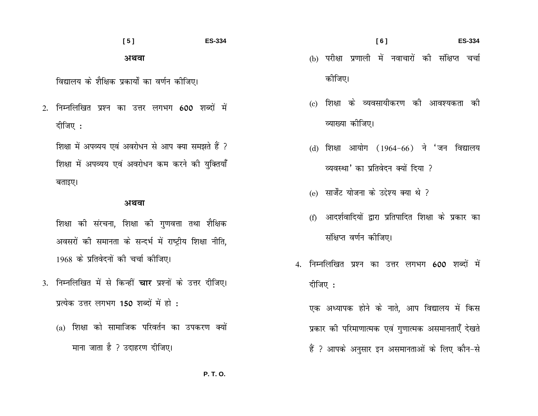### $[5]$ **ES-334** अथवा

विद्यालय के शैक्षिक प्रकार्यों का वर्णन कीजिए।

2. निम्नलिखित प्रश्न का उत्तर लगभग 600 शब्दों में दीजिए:

शिक्षा में अपव्यय एवं अवरोधन से आप क्या समझते हैं ? शिक्षा में अपव्यय एवं अवरोधन कम करने की युक्तियाँ बताइए।

#### अथवा

- शिक्षा की संरचना, शिक्षा की गणवत्ता तथा शैक्षिक अवसरों की समानता के सन्दर्भ में राष्ट्रीय शिक्षा नीति, 1968 के प्रतिवेदनों की चर्चा कीजिए।
- 3. निम्नलिखित में से किन्हीं **चार** प्रश्नों के उत्तर दीजिए। प्रत्येक उत्तर लगभग 150 शब्दों में हो :
	- (a) शिक्षा को सामाजिक परिवर्तन का उपकरण क्यों माना जाता है ? उदाहरण दीजिए।
- $[6]$ **ES-334** (b) परीक्षा प्रणाली में नवाचारों की संक्षिप्त चर्चा कोजिए।
- (c) शिक्षा के व्यवसायीकरण की आवश्यकता की व्याख्या कीजिए।
- (d) शिक्षा आयोग (1964-66) ने 'जन विद्यालय व्यवस्था' का प्रतिवेदन क्यों दिया ?
- (e) सार्जेंट योजना के उद्देश्य क्या थे ?
- (f) आदर्शवादियों द्वारा प्रतिपादित शिक्षा के प्रकार का संक्षिप्त वर्णन कोजिए।
- 4. निम्नलिखित प्रश्न का उत्तर लगभग 600 शब्दों में दीजिए :

एक अध्यापक होने के नाते, आप विद्यालय में किस प्रकार की परिमाणात्मक एवं गुणात्मक असमानताएँ देखते हैं ? आपके अनुसार इन असमानताओं के लिए कौन-से